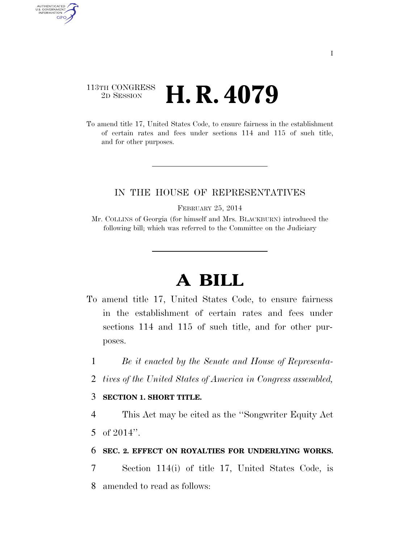### 113TH CONGRESS <sup>2D SESSION</sup> **H. R. 4079**

AUTHENTICATED<br>U.S. GOVERNMENT<br>INFORMATION GPO

> To amend title 17, United States Code, to ensure fairness in the establishment of certain rates and fees under sections 114 and 115 of such title, and for other purposes.

#### IN THE HOUSE OF REPRESENTATIVES

FEBRUARY 25, 2014

Mr. COLLINS of Georgia (for himself and Mrs. BLACKBURN) introduced the following bill; which was referred to the Committee on the Judiciary

# **A BILL**

- To amend title 17, United States Code, to ensure fairness in the establishment of certain rates and fees under sections 114 and 115 of such title, and for other purposes.
	- 1 *Be it enacted by the Senate and House of Representa-*
	- 2 *tives of the United States of America in Congress assembled,*

#### 3 **SECTION 1. SHORT TITLE.**

4 This Act may be cited as the ''Songwriter Equity Act 5 of 2014''.

#### 6 **SEC. 2. EFFECT ON ROYALTIES FOR UNDERLYING WORKS.**

7 Section 114(i) of title 17, United States Code, is 8 amended to read as follows: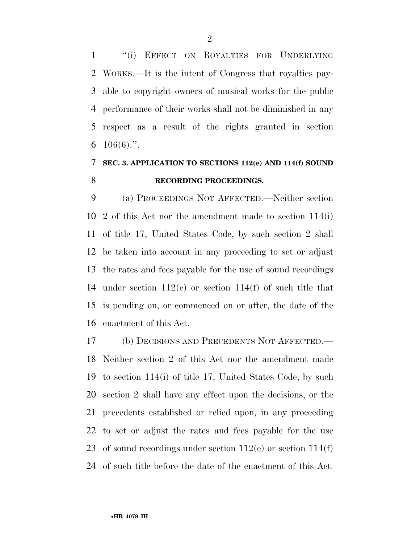''(i) EFFECT ON ROYALTIES FOR UNDERLYING WORKS.—It is the intent of Congress that royalties pay- able to copyright owners of musical works for the public performance of their works shall not be diminished in any respect as a result of the rights granted in section  $106(6)$ .".

## **SEC. 3. APPLICATION TO SECTIONS 112(e) AND 114(f) SOUND RECORDING PROCEEDINGS.**

 (a) PROCEEDINGS NOT AFFECTED.—Neither section 2 of this Act nor the amendment made to section 114(i) of title 17, United States Code, by such section 2 shall be taken into account in any proceeding to set or adjust the rates and fees payable for the use of sound recordings under section 112(e) or section 114(f) of such title that is pending on, or commenced on or after, the date of the enactment of this Act.

 (b) DECISIONS AND PRECEDENTS NOT AFFECTED.— Neither section 2 of this Act nor the amendment made to section 114(i) of title 17, United States Code, by such section 2 shall have any effect upon the decisions, or the precedents established or relied upon, in any proceeding to set or adjust the rates and fees payable for the use 23 of sound recordings under section  $112(e)$  or section  $114(f)$ of such title before the date of the enactment of this Act.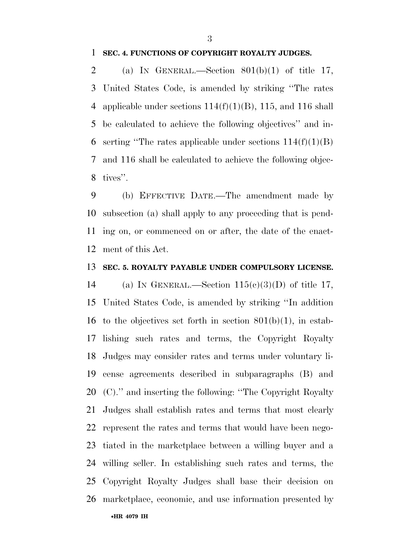#### **SEC. 4. FUNCTIONS OF COPYRIGHT ROYALTY JUDGES.**

2 (a) IN GENERAL.—Section  $801(b)(1)$  of title 17, United States Code, is amended by striking ''The rates 4 applicable under sections  $114(f)(1)(B)$ , 115, and 116 shall be calculated to achieve the following objectives'' and in-6 serting "The rates applicable under sections  $114(f)(1)(B)$  and 116 shall be calculated to achieve the following objec-tives''.

 (b) EFFECTIVE DATE.—The amendment made by subsection (a) shall apply to any proceeding that is pend- ing on, or commenced on or after, the date of the enact-ment of this Act.

#### **SEC. 5. ROYALTY PAYABLE UNDER COMPULSORY LICENSE.**

•**HR 4079 IH** 14 (a) IN GENERAL.—Section  $115(e)(3)(D)$  of title 17, United States Code, is amended by striking ''In addition 16 to the objectives set forth in section  $801(b)(1)$ , in estab- lishing such rates and terms, the Copyright Royalty Judges may consider rates and terms under voluntary li- cense agreements described in subparagraphs (B) and (C).'' and inserting the following: ''The Copyright Royalty Judges shall establish rates and terms that most clearly represent the rates and terms that would have been nego- tiated in the marketplace between a willing buyer and a willing seller. In establishing such rates and terms, the Copyright Royalty Judges shall base their decision on marketplace, economic, and use information presented by